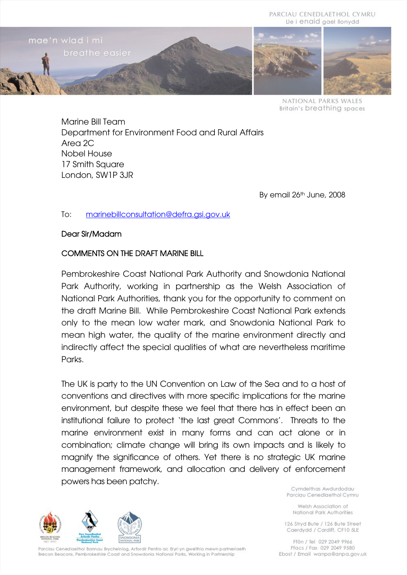

NATIONAL PARKS WALES **Britain's breathing spaces** 

Marine Bill Team Department for Environment Food and Rural Affairs Area 2C Nobel House 17 Smith Square London, SW1P 3JR

By email 26<sup>th</sup> June, 2008

#### To: [marinebillconsultation@defra.gsi.gov.uk](mailto:marinebillconsultation@defra.gsi.gov.uk)

#### Dear Sir/Madam

#### COMMENTS ON THE DRAFT MARINE BILL

Pembrokeshire Coast National Park Authority and Snowdonia National Park Authority, working in partnership as the Welsh Association of National Park Authorities, thank you for the opportunity to comment on the draft Marine Bill. While Pembrokeshire Coast National Park extends only to the mean low water mark, and Snowdonia National Park to mean high water, the quality of the marine environment directly and indirectly affect the special qualities of what are nevertheless maritime Parks.

The UK is party to the UN Convention on Law of the Sea and to a host of conventions and directives with more specific implications for the marine environment, but despite these we feel that there has in effect been an institutional failure to protect 'the last great Commons'. Threats to the marine environment exist in many forms and can act alone or in combination; climate change will bring its own impacts and is likely to magnify the significance of others. Yet there is no strategic UK marine management framework, and allocation and delivery of enforcement powers has been patchy.



Parciau Cenedlaethol Bannau Brycheiniog, Arfordir Penfro ac Eryri yn gweithio mewn partneriaeth Brecon Beacons, Pembrokeshire Coast and Snowdonia National Parks, Working in Partnership

Cymdeithas Awdurdodau Parciau Cenedlaethol Cymru

Welsh Association of National Park Authorities

126 Stryd Bute / 126 Bute Street Caerdydd / Cardiff, CF10 5LE

Ffôn / Tel 029 2049 9966 Ffacs / Fax 029 2049 9580 Ebost / Email wanpa@anpa.gov.uk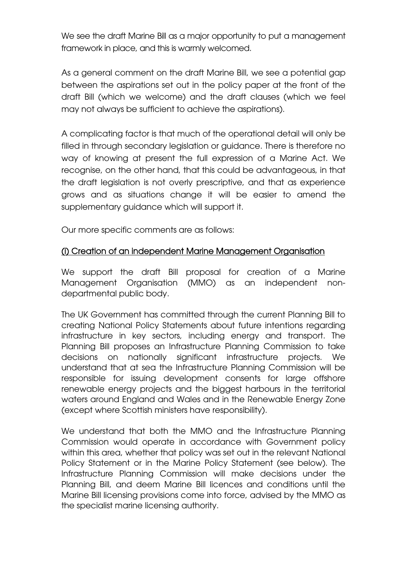We see the draft Marine Bill as a major opportunity to put a management framework in place, and this is warmly welcomed.

As a general comment on the draft Marine Bill, we see a potential gap between the aspirations set out in the policy paper at the front of the draft Bill (which we welcome) and the draft clauses (which we feel may not always be sufficient to achieve the aspirations).

A complicating factor is that much of the operational detail will only be filled in through secondary legislation or guidance. There is therefore no way of knowing at present the full expression of a Marine Act. We recognise, on the other hand, that this could be advantageous, in that the draft legislation is not overly prescriptive, and that as experience grows and as situations change it will be easier to amend the supplementary guidance which will support it.

Our more specific comments are as follows:

# (i) Creation of an independent Marine Management Organisation

We support the draft Bill proposal for creation of a Marine Management Organisation (MMO) as an independent nondepartmental public body.

The UK Government has committed through the current Planning Bill to creating National Policy Statements about future intentions regarding infrastructure in key sectors, including energy and transport. The Planning Bill proposes an Infrastructure Planning Commission to take decisions on nationally significant infrastructure projects. We understand that at sea the Infrastructure Planning Commission will be responsible for issuing development consents for large offshore renewable energy projects and the biggest harbours in the territorial waters around England and Wales and in the Renewable Energy Zone (except where Scottish ministers have responsibility).

We understand that both the MMO and the Infrastructure Planning Commission would operate in accordance with Government policy within this area, whether that policy was set out in the relevant National Policy Statement or in the Marine Policy Statement (see below). The Infrastructure Planning Commission will make decisions under the Planning Bill, and deem Marine Bill licences and conditions until the Marine Bill licensing provisions come into force, advised by the MMO as the specialist marine licensing authority.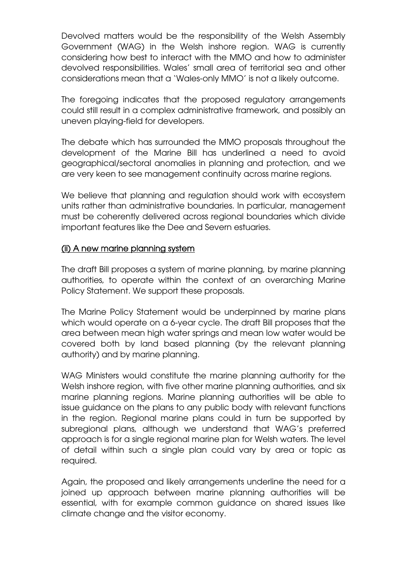Devolved matters would be the responsibility of the Welsh Assembly Government (WAG) in the Welsh inshore region. WAG is currently considering how best to interact with the MMO and how to administer devolved responsibilities. Wales' small area of territorial sea and other considerations mean that a 'Wales-only MMO' is not a likely outcome.

The foregoing indicates that the proposed regulatory arrangements could still result in a complex administrative framework, and possibly an uneven playing-field for developers.

The debate which has surrounded the MMO proposals throughout the development of the Marine Bill has underlined a need to avoid geographical/sectoral anomalies in planning and protection, and we are very keen to see management continuity across marine regions.

We believe that planning and regulation should work with ecosystem units rather than administrative boundaries. In particular, management must be coherently delivered across regional boundaries which divide important features like the Dee and Severn estuaries.

# (ii) A new marine planning system

The draft Bill proposes a system of marine planning, by marine planning authorities, to operate within the context of an overarching Marine Policy Statement. We support these proposals.

The Marine Policy Statement would be underpinned by marine plans which would operate on a 6-year cycle. The draft Bill proposes that the area between mean high water springs and mean low water would be covered both by land based planning (by the relevant planning authority) and by marine planning.

WAG Ministers would constitute the marine planning authority for the Welsh inshore region, with five other marine planning authorities, and six marine planning regions. Marine planning authorities will be able to issue guidance on the plans to any public body with relevant functions in the region. Regional marine plans could in turn be supported by subregional plans, although we understand that WAG's preferred approach is for a single regional marine plan for Welsh waters. The level of detail within such a single plan could vary by area or topic as required.

Again, the proposed and likely arrangements underline the need for a joined up approach between marine planning authorities will be essential, with for example common guidance on shared issues like climate change and the visitor economy.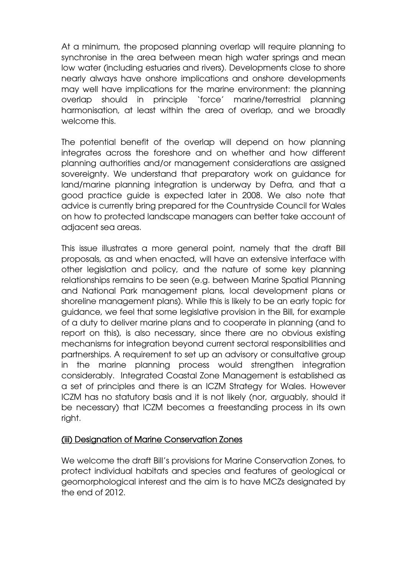At a minimum, the proposed planning overlap will require planning to synchronise in the area between mean high water springs and mean low water (including estuaries and rivers). Developments close to shore nearly always have onshore implications and onshore developments may well have implications for the marine environment: the planning overlap should in principle 'force' marine/terrestrial planning harmonisation, at least within the area of overlap, and we broadly welcome this.

The potential benefit of the overlap will depend on how planning integrates across the foreshore and on whether and how different planning authorities and/or management considerations are assigned sovereignty. We understand that preparatory work on guidance for land/marine planning integration is underway by Defra, and that a good practice guide is expected later in 2008. We also note that advice is currently bring prepared for the Countryside Council for Wales on how to protected landscape managers can better take account of adjacent sea areas.

This issue illustrates a more general point, namely that the draft Bill proposals, as and when enacted, will have an extensive interface with other legislation and policy, and the nature of some key planning relationships remains to be seen (e.g. between Marine Spatial Planning and National Park management plans, local development plans or shoreline management plans). While this is likely to be an early topic for guidance, we feel that some legislative provision in the Bill, for example of a duty to deliver marine plans and to cooperate in planning (and to report on this), is also necessary, since there are no obvious existing mechanisms for integration beyond current sectoral responsibilities and partnerships. A requirement to set up an advisory or consultative group in the marine planning process would strengthen integration considerably. Integrated Coastal Zone Management is established as a set of principles and there is an ICZM Strategy for Wales. However ICZM has no statutory basis and it is not likely (nor, arguably, should it be necessary) that ICZM becomes a freestanding process in its own right.

# (iii) Designation of Marine Conservation Zones

We welcome the draft Bill's provisions for Marine Conservation Zones, to protect individual habitats and species and features of geological or geomorphological interest and the aim is to have MCZs designated by the end of 2012.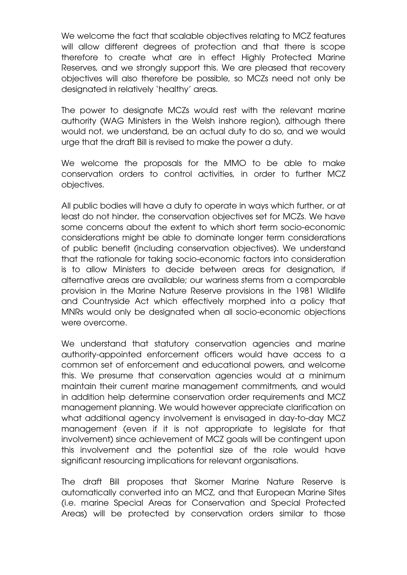We welcome the fact that scalable objectives relating to MCZ features will allow different degrees of protection and that there is scope therefore to create what are in effect Highly Protected Marine Reserves, and we strongly support this. We are pleased that recovery objectives will also therefore be possible, so MCZs need not only be designated in relatively 'healthy' areas.

The power to designate MCZs would rest with the relevant marine authority (WAG Ministers in the Welsh inshore region), although there would not, we understand, be an actual duty to do so, and we would urge that the draft Bill is revised to make the power a duty.

We welcome the proposals for the MMO to be able to make conservation orders to control activities, in order to further MCZ objectives.

All public bodies will have a duty to operate in ways which further, or at least do not hinder, the conservation objectives set for MCZs. We have some concerns about the extent to which short term socio-economic considerations might be able to dominate longer term considerations of public benefit (including conservation objectives). We understand that the rationale for taking socio-economic factors into consideration is to allow Ministers to decide between areas for designation, if alternative areas are available; our wariness stems from a comparable provision in the Marine Nature Reserve provisions in the 1981 Wildlife and Countryside Act which effectively morphed into a policy that MNRs would only be designated when all socio-economic objections were overcome.

We understand that statutory conservation agencies and marine authority-appointed enforcement officers would have access to a common set of enforcement and educational powers, and welcome this. We presume that conservation agencies would at a minimum maintain their current marine management commitments, and would in addition help determine conservation order requirements and MCZ management planning. We would however appreciate clarification on what additional agency involvement is envisaged in day-to-day MCZ management (even if it is not appropriate to legislate for that involvement) since achievement of MCZ goals will be contingent upon this involvement and the potential size of the role would have significant resourcing implications for relevant organisations.

The draft Bill proposes that Skomer Marine Nature Reserve is automatically converted into an MCZ, and that European Marine Sites (i.e. marine Special Areas for Conservation and Special Protected Areas) will be protected by conservation orders similar to those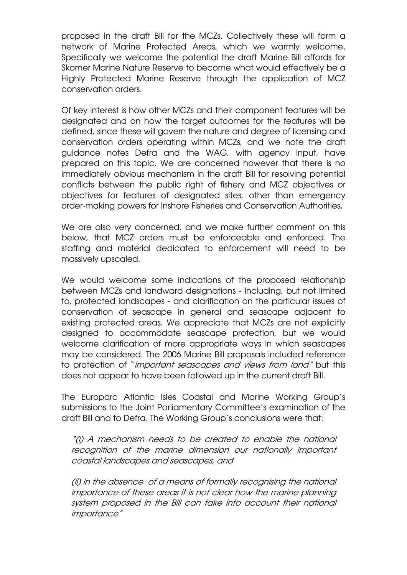proposed in the draft Bill for the MCZs. Collectively these will form a network of Marine Protected Areas, which we warmly welcome. Specifically we welcome the potential the draft Marine Bill affords for Skomer Marine Nature Reserve to become what would effectively be a Highly Protected Marine Reserve through the application of MCZ conservation orders.

Of key interest is how other MCZs and their component features will be designated and on how the target outcomes for the features will be defined, since these will govern the nature and degree of licensing and conservation orders operating within MCZs, and we note the draft guidance notes Defra and the WAG, with agency input, have prepared on this topic. We are concerned however that there is no immediately obvious mechanism in the draft Bill for resolving potential conflicts between the public right of fishery and MCZ objectives or objectives for features of designated sites, other than emergency order-making powers for Inshore Fisheries and Conservation Authorities.

We are also very concerned, and we make further comment on this below, that MCZ orders must be enforceable and enforced. The staffing and material dedicated to enforcement will need to be massively upscaled.

We would welcome some indications of the proposed relationship between MCZs and landward designations - including, but not limited to, protected landscapes - and clarification on the particular issues of conservation of seascape in general and seascape adjacent to existing protected areas. We appreciate that MCZs are not explicitly designed to accommodate seascape protection, but we would welcome clarification of more appropriate ways in which seascapes may be considered. The 2006 Marine Bill proposals included reference to protection of "*important seascapes and views from land"* but this does not appear to have been followed up in the current draft Bill.

The Europarc Atlantic Isles Coastal and Marine Working Group's submissions to the Joint Parliamentary Committee's examination of the draft Bill and to Defra. The Working Group's conclusions were that:

"(i) A mechanism needs to be created to enable the national recognition of the marine dimension our nationally important coastal landscapes and seascapes, and

(ii) in the absence of a means of formally recognising the national importance of these areas it is not clear how the marine planning system proposed in the Bill can take into account their national importance"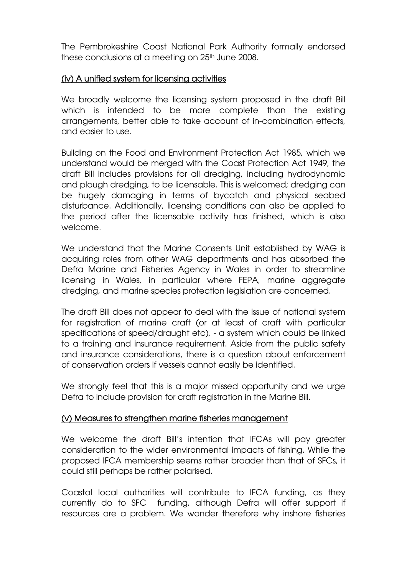The Pembrokeshire Coast National Park Authority formally endorsed these conclusions at a meeting on 25<sup>th</sup> June 2008.

#### (iv) A unified system for licensing activities

We broadly welcome the licensing system proposed in the draft Bill which is intended to be more complete than the existing arrangements, better able to take account of in-combination effects, and easier to use.

Building on the Food and Environment Protection Act 1985, which we understand would be merged with the Coast Protection Act 1949, the draft Bill includes provisions for all dredging, including hydrodynamic and plough dredging, to be licensable. This is welcomed; dredging can be hugely damaging in terms of bycatch and physical seabed disturbance. Additionally, licensing conditions can also be applied to the period after the licensable activity has finished, which is also welcome.

We understand that the Marine Consents Unit established by WAG is acquiring roles from other WAG departments and has absorbed the Defra Marine and Fisheries Agency in Wales in order to streamline licensing in Wales, in particular where FEPA, marine aggregate dredging, and marine species protection legislation are concerned.

The draft Bill does not appear to deal with the issue of national system for registration of marine craft (or at least of craft with particular specifications of speed/draught etc), - a system which could be linked to a training and insurance requirement. Aside from the public safety and insurance considerations, there is a question about enforcement of conservation orders if vessels cannot easily be identified.

We strongly feel that this is a major missed opportunity and we urge Defra to include provision for craft registration in the Marine Bill.

# (v) Measures to strengthen marine fisheries management

We welcome the draft Bill's intention that IFCAs will pay greater consideration to the wider environmental impacts of fishing. While the proposed IFCA membership seems rather broader than that of SFCs, it could still perhaps be rather polarised.

Coastal local authorities will contribute to IFCA funding, as they currently do to SFC funding, although Defra will offer support if resources are a problem. We wonder therefore why inshore fisheries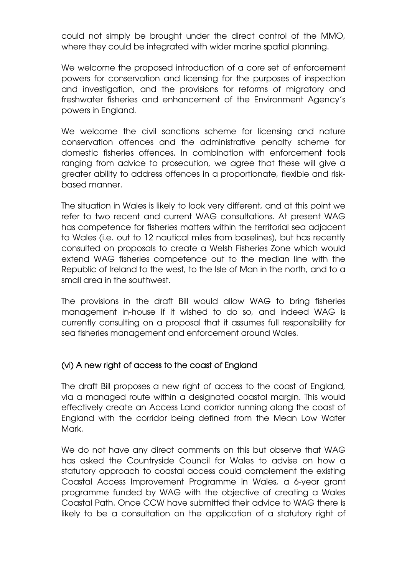could not simply be brought under the direct control of the MMO, where they could be integrated with wider marine spatial planning.

We welcome the proposed introduction of a core set of enforcement powers for conservation and licensing for the purposes of inspection and investigation, and the provisions for reforms of migratory and freshwater fisheries and enhancement of the Environment Agency's powers in England.

We welcome the civil sanctions scheme for licensing and nature conservation offences and the administrative penalty scheme for domestic fisheries offences. In combination with enforcement tools ranging from advice to prosecution, we agree that these will give a greater ability to address offences in a proportionate, flexible and riskbased manner.

The situation in Wales is likely to look very different, and at this point we refer to two recent and current WAG consultations. At present WAG has competence for fisheries matters within the territorial sea adjacent to Wales (i.e. out to 12 nautical miles from baselines), but has recently consulted on proposals to create a Welsh Fisheries Zone which would extend WAG fisheries competence out to the median line with the Republic of Ireland to the west, to the Isle of Man in the north, and to a small area in the southwest.

The provisions in the draft Bill would allow WAG to bring fisheries management in-house if it wished to do so, and indeed WAG is currently consulting on a proposal that it assumes full responsibility for sea fisheries management and enforcement around Wales.

# (vi) A new right of access to the coast of England

The draft Bill proposes a new right of access to the coast of England, via a managed route within a designated coastal margin. This would effectively create an Access Land corridor running along the coast of England with the corridor being defined from the Mean Low Water Mark.

We do not have any direct comments on this but observe that WAG has asked the Countryside Council for Wales to advise on how a statutory approach to coastal access could complement the existing Coastal Access Improvement Programme in Wales, a 6-year grant programme funded by WAG with the objective of creating a Wales Coastal Path. Once CCW have submitted their advice to WAG there is likely to be a consultation on the application of a statutory right of